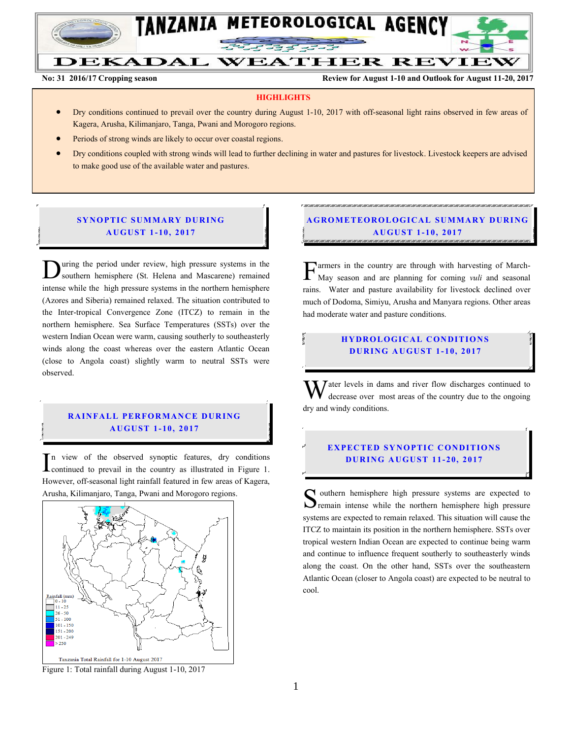

#### **DEKADAL WEATHER REVIEW**

No: 31 **2016/17 Cropping season Review for August 1-10 and Outlook for August 11-20, 2017** 

#### **HIGHLIGHTS**

- Dry conditions continued to prevail over the country during August 1-10, 2017 with off-seasonal light rains observed in few areas of Kagera, Arusha, Kilimanjaro, Tanga, Pwani and Morogoro regions.
- Periods of strong winds are likely to occur over coastal regions.
- Dry conditions coupled with strong winds will lead to further declining in water and pastures for livestock. Livestock keepers are advised to make good use of the available water and pastures.

## **SYNOPTIC SUMMARY DURING A U GU ST 1 - 10, 2017**

uring the period under review, high pressure systems in the southern hemisphere (St. Helena and Mascarene) remained **inter** while the period under review, high pressure systems in the southern hemisphere (St. Helena and Mascarene) remained intense while the high pressure systems in the northern hemisphere (Azores and Siberia) remained relaxed. The situation contributed to the Inter-tropical Convergence Zone (ITCZ) to remain in the northern hemisphere. Sea Surface Temperatures (SSTs) over the western Indian Ocean were warm, causing southerly to southeasterly winds along the coast whereas over the eastern Atlantic Ocean (close to Angola coast) slightly warm to neutral SSTs were observed.

#### **RAINFALL PERFORMANCE DURING A U GU ST 1- 10, 2017**

n view of the observed synoptic features, dry conditions  $\prod$ <sup>n</sup> view of the observed synoptic features, dry conditions continued to prevail in the country as illustrated in Figure 1. However, off-seasonal light rainfall featured in few areas of Kagera, Arusha, Kilimanjaro, Tanga, Pwani and Morogoro regions.



Figure 1: Total rainfall during August 1-10, 2017

# **A G RO METEO R O LOG ICA L SU MMA RY D UR ING A U GU ST 1- 10 , 2017**

armers in the country are through with harvesting of March-May season and are planning for coming *vuli* and seasonal rains. Water and pasture availability for livestock declined over much of Dodoma, Simiyu, Arusha and Manyara regions. Other areas had moderate water and pasture conditions. F

#### **HYDROLOGICAL CONDITIONS DURING AUGUST 1-10, 2017**

 $\mathbf{W}$  ater levels in dams and river flow discharges continued to decrease over most areas of the country due to the ongoing decrease over most areas of the country due to the ongoing dry and windy conditions.

### **EXPECTED SYNOPTIC CONDITIONS D UR ING A U GU ST 11 - 20, 2017**

outhern hemisphere high pressure systems are expected to Southern hemisphere high pressure systems are expected to remain intense while the northern hemisphere high pressure systems are expected to remain relaxed. This situation will cause the ITCZ to maintain its position in the northern hemisphere. SSTs over tropical western Indian Ocean are expected to continue being warm and continue to influence frequent southerly to southeasterly winds along the coast. On the other hand, SSTs over the southeastern Atlantic Ocean (closer to Angola coast) are expected to be neutral to cool.